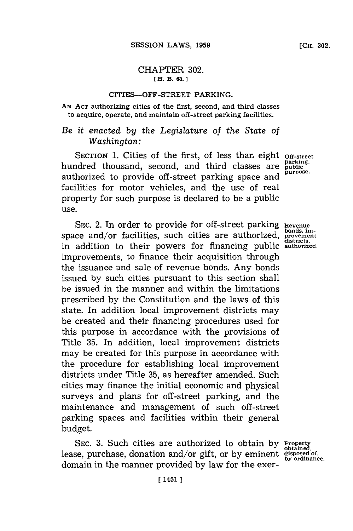## CHAPTER **302. [H. B. 68.]**

### CITIES-OFF-STREET PARKING.

**AN ACT** authorizing cities of the first, second, and third classes to acquire, operate, and maintain off-street parking facilities.

# *Be it enacted by the Legislature of the State of Washington:*

SECTION 1. Cities of the first, of less than eight off-street hundred thousand, second, and third classes are parking. authorized to provide off-street parking space and facilities for motor vehicles, and the use of real property for such purpose is declared to be a public use.

SEC. 2. In order to provide for off-street parking Revenue space and/or facilities, such cities are authorized, **provement** in addition to their powers for financing public authorized. improvements, to finance their acquisition through the issuance and sale of revenue bonds. Any bonds issued **by** such cities pursuant to this section shall be issued in the manner and within the limitations prescribed **by** the Constitution and the laws of this state. In addition local improvement districts may be created and their financing procedures used for this purpose in accordance with the provisions of Title **35.** In addition, local improvement districts may be created for this purpose in accordance with the procedure for establishing local improvement districts under Title **35,** as hereafter amended. Such cities may finance the initial economic and physical surveys and plans for off-street parking, and the maintenance and management of such off-street parking spaces and facilities within their general budget.

SEC. **3.** Such cities are authorized to obtain **by Property obtained,** lease, purchase, donation and/or gift, or **by** eminent **disposed of,** domain in the manner provided by law for the exer-<br>domain in the manner provided by law for the exer-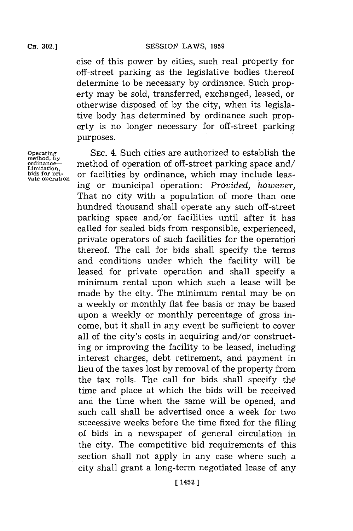cise of this power **by** cities, such real property for off-street parking as the legislative bodies thereof determine to be necessary **by** ordinance. Such property may be sold, transferred, exchanged, leased, or otherwise disposed of **by** the city, when its legislative body has determined **by** ordinance such property is no longer necessary for off-street parking purposes.

**Operating method, by ordinance-Limitation, bids for private operation**

**SEC.** 4. Such cities are authorized to establish the method of operation of off-street parking space and/ or facilities **by** ordinance, which may include leasing or municipal operation: *Provided, however,* That no city with a population of more than one hundred thousand shall operate any such off -street parking space and/or facilities until after it has called for sealed bids from responsible, experienced, private operators of such facilities for the operation thereof. The call for bids shall specify the terms and conditions under which the facility will be leased for private operation and shall specify a minimum rental upon which such a lease will be made **by** the city. The minimum rental may be on a weekly or monthly flat fee basis or may be based upon a weekly or monthly percentage of gross income, but it shall in any event be sufficient to cover all of the city's costs in acquiring and/or constructing or improving the facility to be leased, including interest charges, debt retirement, and payment in lieu of the taxes lost **by** removal of the property from the tax rolls. The call for bids shall specify the time and place at which the bids will be received and the time when the same will be opened, and such call shall be advertised once a week for two successive weeks before the time fixed for the filing of bids in a newspaper of general circulation in the city. The competitive bid requirements of this section shall not apply in any case where such a city shall grant a long-term negotiated lease of any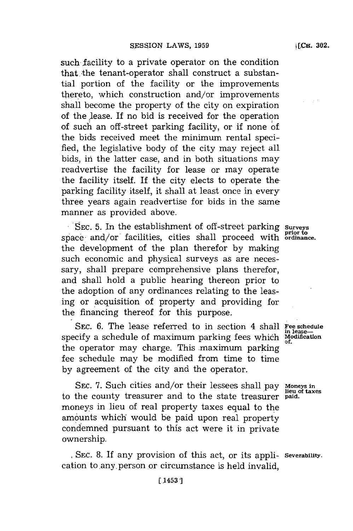such facility to a private operator on the condition that the tenant-operator shall construct a substantial portion of the facility or the improvements thereto, which construction and/or improvements shall become the property of the city on expiration of the lease. If no bid is received for the operation of such an off-street parking facility, or if none of the bids received meet the minimum rental specified, the legislative body of the city may reject all bids, in the latter case, and in both situations may readvertise the facility for lease or may operate the facility itself. If the city elects to operate the. parking facility itself, it shall at least once in every three years again readvertise for bids in the same manner as provided above.

SEC. 5. In the establishment of off-street parking surveys prior to<br>space, and/or facilities, cities shall proceed with ordinance the development of the plan therefor **by** making such economic and physical surveys as are necessary, shall prepare comprehensive plans therefor, and shall hold a public hearing thereon prior to the adoption of any ordinances relating to the leasing or acquisition of property and providing for the financing thereof for this purpose.

SEC. **6.** The lease referred to in section 4 shall **Fee schedule**<br>
refers a schedule of maximum parking fees which Modification specify a schedule of maximum parking fees which the operator may charge. This maximum parking fee schedule may be modified from time to time **by** agreement of the city and the operator.

SEC. **7.** Such cities and/or their lessees shall pay **Moneys in** to the county treasurer and to the state treasurer moneys in lieu of real property taxes equal to the amounts which would be paid upon real property condemned pursuant to this act were it in private ownership.

**,SEC. 8.** If any provision of this act, or its appli- **Severability.** cation to any person or circumstance is held invalid,

**lieu of taxes**